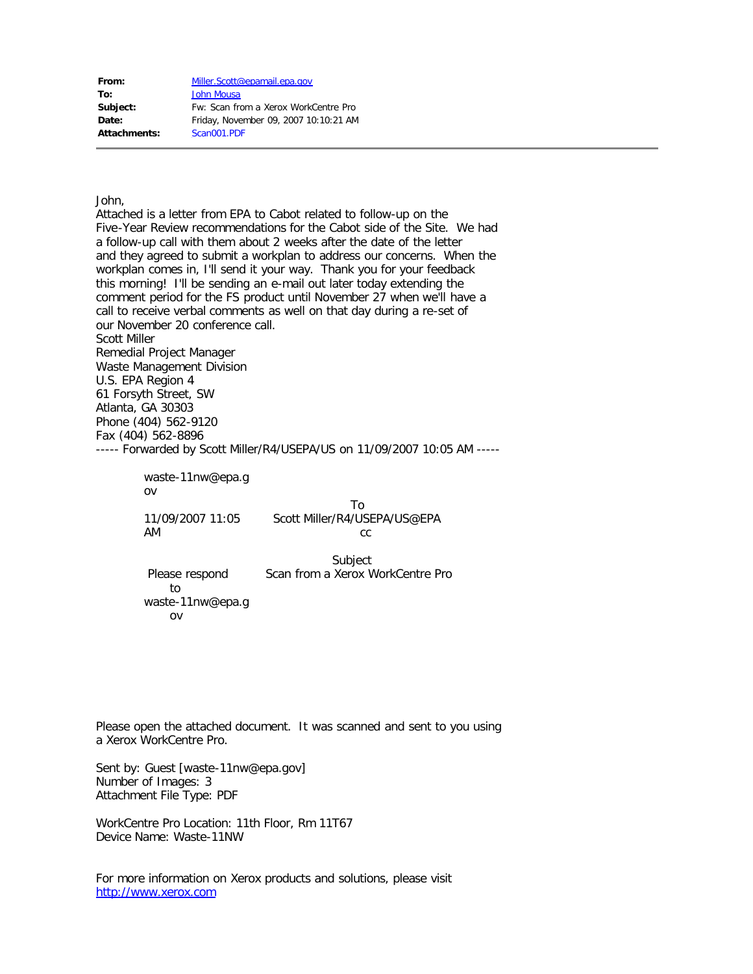| From:        | Miller.Scott@epamail.epa.gov          |
|--------------|---------------------------------------|
| To:          | John Mousa                            |
| Subject:     | Fw: Scan from a Xerox WorkCentre Pro  |
| Date:        | Friday, November 09, 2007 10:10:21 AM |
| Attachments: | Scan001.PDF                           |

John,

Attached is a letter from EPA to Cabot related to follow-up on the Five-Year Review recommendations for the Cabot side of the Site. We had a follow-up call with them about 2 weeks after the date of the letter and they agreed to submit a workplan to address our concerns. When the workplan comes in, I'll send it your way. Thank you for your feedback this morning! I'll be sending an e-mail out later today extending the comment period for the FS product until November 27 when we'll have a call to receive verbal comments as well on that day during a re-set of our November 20 conference call. Scott Miller Remedial Project Manager Waste Management Division U.S. EPA Region 4 61 Forsyth Street, SW Atlanta, GA 30303 Phone (404) 562-9120 Fax (404) 562-8896 ----- Forwarded by Scott Miller/R4/USEPA/US on 11/09/2007 10:05 AM -----

> waste-11nw@epa.g ov

 To 11/09/2007 11:05 Scott Miller/R4/USEPA/US@EPA AM cc

> Subject Please respond Scan from a Xerox WorkCentre Pro to waste-11nw@epa.g

ov

Please open the attached document. It was scanned and sent to you using a Xerox WorkCentre Pro.

Sent by: Guest [waste-11nw@epa.gov] Number of Images: 3 Attachment File Type: PDF

WorkCentre Pro Location: 11th Floor, Rm 11T67 Device Name: Waste-11NW

For more information on Xerox products and solutions, please visit [http://www.xerox.com](http://www.xerox.com/)